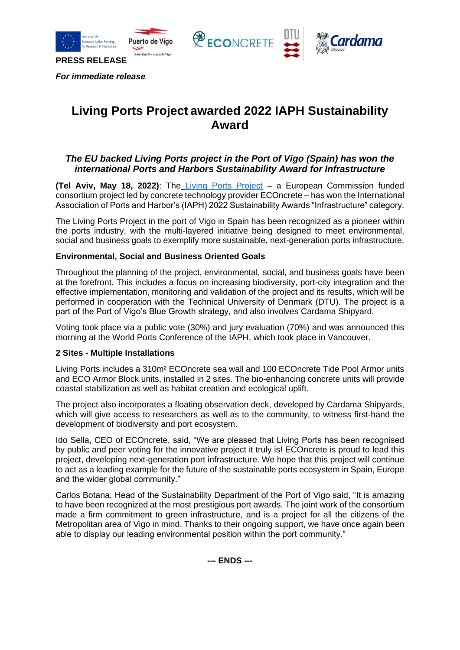





## **Living Ports Project awarded 2022 IAPH Sustainability Award**

## *The EU backed Living Ports project in the Port of Vigo (Spain) has won the international Ports and Harbors Sustainability Award for Infrastructure*

**(Tel Aviv, May 18, 2022)**: The [Living Ports](https://www.livingports.eu/about) Project – a European Commission funded consortium project led by concrete technology provider ECOncrete – has won the International Association of Ports and Harbor's (IAPH) 2022 Sustainability Awards "Infrastructure" category.

The Living Ports Project in the port of Vigo in Spain has been recognized as a pioneer within the ports industry, with the multi-layered initiative being designed to meet environmental, social and business goals to exemplify more sustainable, next-generation ports infrastructure.

## **Environmental, Social and Business Oriented Goals**

Throughout the planning of the project, environmental, social, and business goals have been at the forefront. This includes a focus on increasing biodiversity, port-city integration and the effective implementation, monitoring and validation of the project and its results, which will be performed in cooperation with the Technical University of Denmark (DTU). The project is a part of the Port of Vigo's Blue Growth strategy, and also involves Cardama Shipyard.

Voting took place via a public vote (30%) and jury evaluation (70%) and was announced this morning at the World Ports Conference of the IAPH, which took place in Vancouver.

## **2 Sites - Multiple Installations**

Living Ports includes a 310m² ECOncrete sea wall and 100 ECOncrete Tide Pool Armor units and ECO Armor Block units, installed in 2 sites. The bio-enhancing concrete units will provide coastal stabilization as well as habitat creation and ecological uplift.

The project also incorporates a floating observation deck, developed by Cardama Shipyards, which will give access to researchers as well as to the community, to witness first-hand the development of biodiversity and port ecosystem.

Ido Sella, CEO of ECOncrete, said, "We are pleased that Living Ports has been recognised by public and peer voting for the innovative project it truly is! ECOncrete is proud to lead this project, developing next-generation port infrastructure. We hope that this project will continue to act as a leading example for the future of the sustainable ports ecosystem in Spain, Europe and the wider global community."

Carlos Botana, Head of the Sustainability Department of the Port of Vigo said, "It is amazing to have been recognized at the most prestigious port awards. The joint work of the consortium made a firm commitment to green infrastructure, and is a project for all the citizens of the Metropolitan area of Vigo in mind. Thanks to their ongoing support, we have once again been able to display our leading environmental position within the port community."

**--- ENDS ---**